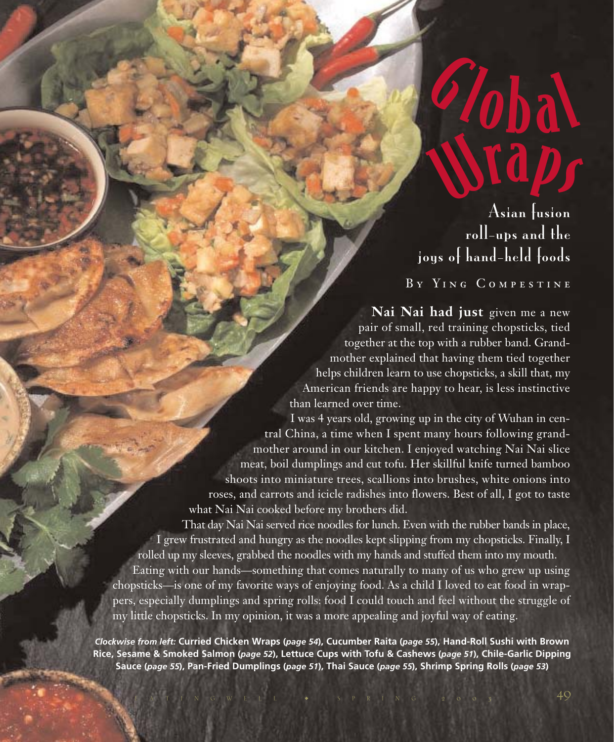# Wrap<sup>s</sup> 2/obal

Asian fusion roll-ups and the joys of hand-held foods

By Ying Compestine

**Nai Nai had just** given me a new pair of small, red training chopsticks, tied together at the top with a rubber band. Grandmother explained that having them tied together helps children learn to use chopsticks, a skill that, my American friends are happy to hear, is less instinctive than learned over time.

I was 4 years old, growing up in the city of Wuhan in central China, a time when I spent many hours following grandmother around in our kitchen. I enjoyed watching Nai Nai slice meat, boil dumplings and cut tofu. Her skillful knife turned bamboo shoots into miniature trees, scallions into brushes, white onions into roses, and carrots and icicle radishes into flowers. Best of all, I got to taste what Nai Nai cooked before my brothers did.

That day Nai Nai served rice noodles for lunch. Even with the rubber bands in place, I grew frustrated and hungry as the noodles kept slipping from my chopsticks. Finally, I rolled up my sleeves, grabbed the noodles with my hands and stuffed them into my mouth.

Eating with our hands—something that comes naturally to many of us who grew up using chopsticks—is one of my favorite ways of enjoying food. As a child I loved to eat food in wrappers, especially dumplings and spring rolls: food I could touch and feel without the struggle of my little chopsticks. In my opinion, it was a more appealing and joyful way of eating.

*Clockwise from left:* **Curried Chicken Wraps (***page 54***), Cucumber Raita (***page 55***), Hand-Roll Sushi with Brown Rice, Sesame & Smoked Salmon (***page 52***), Lettuce Cups with Tofu & Cashews (***page 51***), Chile-Garlic Dipping Sauce (***page 55***), Pan-Fried Dumplings (***page 51***), Thai Sauce (***page 55***), Shrimp Spring Rolls (***page 53***)**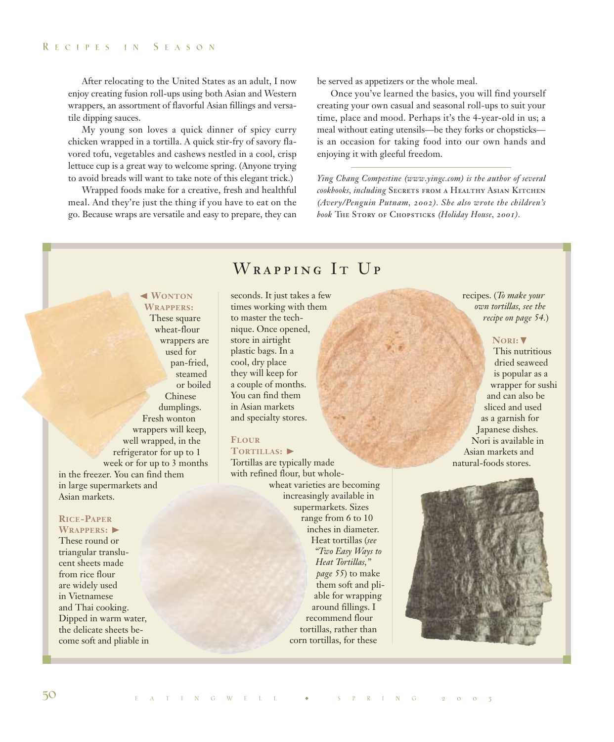After relocating to the United States as an adult, I now enjoy creating fusion roll-ups using both Asian and Western wrappers, an assortment of flavorful Asian fillings and versatile dipping sauces.

My young son loves a quick dinner of spicy curry chicken wrapped in a tortilla. A quick stir-fry of savory flavored tofu, vegetables and cashews nestled in a cool, crisp lettuce cup is a great way to welcome spring. (Anyone trying to avoid breads will want to take note of this elegant trick.)

Wrapped foods make for a creative, fresh and healthful meal. And they're just the thing if you have to eat on the go. Because wraps are versatile and easy to prepare, they can

be served as appetizers or the whole meal.

Once you've learned the basics, you will find yourself creating your own casual and seasonal roll-ups to suit your time, place and mood. Perhaps it's the 4-year-old in us; a meal without eating utensils—be they forks or chopsticks is an occasion for taking food into our own hands and enjoying it with gleeful freedom.

*Ying Chang Compestine (www.yingc.com) is the author of several cookbooks, including* Secrets from a Healthy Asian Kitchen *(Avery/Penguin Putnam, 2002). She also wrote the children's book* The Story of Chopsticks *(Holiday House, 2001).*

# ➛☎**WONTON**

**WRAPPERS:** These square wheat-flour wrappers are used for pan-fried, steamed or boiled Chinese dumplings. Fresh wonton wrappers will keep, well wrapped, in the refrigerator for up to 1 week or for up to 3 months in the freezer. You can find them in large supermarkets and Asian markets.

#### **RICE-PAPER** WRAPPERS:

These round or triangular translucent sheets made from rice flour are widely used in Vietnamese and Thai cooking. Dipped in warm water, the delicate sheets become soft and pliable in

# WRAPPING IT UP

seconds. It just takes a few times working with them to master the technique. Once opened, store in airtight plastic bags. In a cool, dry place they will keep for a couple of months. You can find them in Asian markets and specialty stores.

# **FLOUR**

# TORTILLAS:

Tortillas are typically made with refined flour, but wholewheat varieties are becoming increasingly available in supermarkets. Sizes range from 6 to 10 inches in diameter. Heat tortillas (*see "Two Easy Ways to Heat Tortillas," page 55*) to make them soft and pliable for wrapping around fillings. I recommend flour tortillas, rather than corn tortillas, for these

recipes. (*To make your own tortillas, see the recipe on page 54.*)

#### **NORI:**❷

This nutritious dried seaweed is popular as a wrapper for sushi and can also be sliced and used as a garnish for Japanese dishes. Nori is available in Asian markets and natural-foods stores.

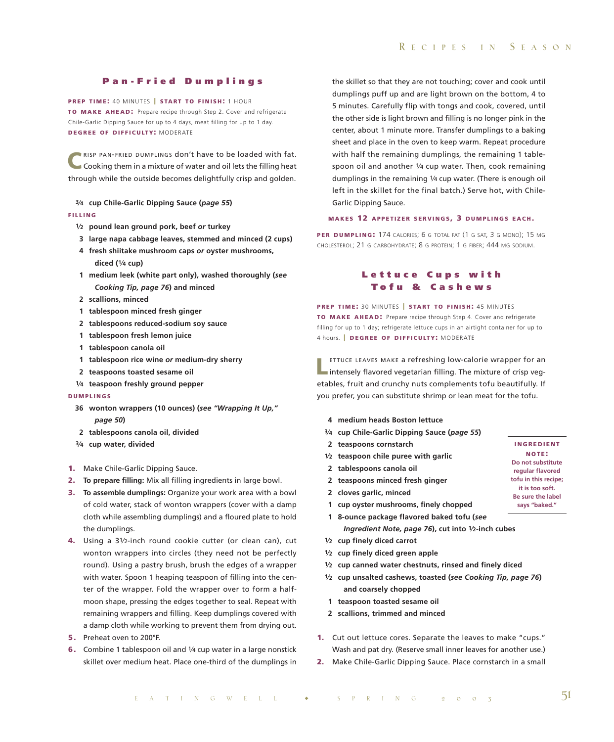#### **Pan-Fried Dumplings**

**PREP TIME: 40 MINUTES | START TO FINISH: 1 HOUR TO MAKE AHEAD:** Prepare recipe through Step 2. Cover and refrigerate Chile-Garlic Dipping Sauce for up to 4 days, meat filling for up to 1 day. **DEGREE OF DIFFICULTY:** MODERATE

**C**RISP PAN-FRIED DUMPLINGS don't have to be loaded with fat.<br>Cooking them in a mixture of water and oil lets the filling heat through while the outside becomes delightfully crisp and golden.

**3⁄4 cup Chile-Garlic Dipping Sauce (***page 55***) FILLING**

- **1⁄2 pound lean ground pork, beef** *or* **turkey**
- **3 large napa cabbage leaves, stemmed and minced (2 cups)**
- **4 fresh shiitake mushroom caps** *or* **oyster mushrooms, diced (1⁄4 cup)**
- **1 medium leek (white part only), washed thoroughly (***see Cooking Tip, page 76***) and minced**
- **2 scallions, minced**
- **1 tablespoon minced fresh ginger**
- **2 tablespoons reduced-sodium soy sauce**
- **1 tablespoon fresh lemon juice**
- **1 tablespoon canola oil**
- **1 tablespoon rice wine** *or* **medium-dry sherry**
- **2 teaspoons toasted sesame oil**
- **1⁄4 teaspoon freshly ground pepper**

#### **DUMPLINGS**

- **36 wonton wrappers (10 ounces) (***see "Wrapping It Up," page 50***)**
- **2 tablespoons canola oil, divided**
- **3⁄4 cup water, divided**
- **1.** Make Chile-Garlic Dipping Sauce.
- **2. To prepare filling:** Mix all filling ingredients in large bowl.
- **3. To assemble dumplings:** Organize your work area with a bowl of cold water, stack of wonton wrappers (cover with a damp cloth while assembling dumplings) and a floured plate to hold the dumplings.
- **4.** Using a 31⁄2-inch round cookie cutter (or clean can), cut wonton wrappers into circles (they need not be perfectly round). Using a pastry brush, brush the edges of a wrapper with water. Spoon 1 heaping teaspoon of filling into the center of the wrapper. Fold the wrapper over to form a halfmoon shape, pressing the edges together to seal. Repeat with remaining wrappers and filling. Keep dumplings covered with a damp cloth while working to prevent them from drying out.
- **5.** Preheat oven to 200°F.
- **6.** Combine 1 tablespoon oil and 1/4 cup water in a large nonstick skillet over medium heat. Place one-third of the dumplings in

the skillet so that they are not touching; cover and cook until dumplings puff up and are light brown on the bottom, 4 to 5 minutes. Carefully flip with tongs and cook, covered, until the other side is light brown and filling is no longer pink in the center, about 1 minute more. Transfer dumplings to a baking sheet and place in the oven to keep warm. Repeat procedure with half the remaining dumplings, the remaining 1 tablespoon oil and another 1/4 cup water. Then, cook remaining dumplings in the remaining 1⁄4 cup water. (There is enough oil left in the skillet for the final batch.) Serve hot, with Chile-Garlic Dipping Sauce.

#### **MAKES 12 APPETIZER SERVINGS , 3 DUMPLINGS EACH .**

PER **DUMPLING:** 174 CALORIES; 6 G TOTAL FAT (1 G SAT, 3 G MONO); 15 MG CHOLESTEROL; 21 G CARBOHYDRATE; 8 G PROTEIN; 1 G FIBER; 444 MG SODIUM.

## **Lettuce Cups with T ofu & Cashews**

**PREP TIME: 30 MINUTES | START TO FINISH: 45 MINUTES TO MAKE AHEAD:** Prepare recipe through Step 4. Cover and refrigerate filling for up to 1 day; refrigerate lettuce cups in an airtight container for up to 4 hours. **| DEGREE OF DIFFICULTY:** MODERATE

**LETTUCE LEAVES MAKE a refreshing low-calorie wrapper for an intensely flavored vegetarian filling. The mixture of crisp veg**etables, fruit and crunchy nuts complements tofu beautifully. If you prefer, you can substitute shrimp or lean meat for the tofu.

- **4 medium heads Boston lettuce**
- **3⁄4 cup Chile-Garlic Dipping Sauce (***page 55***)**
- **2 teaspoons cornstarch**
- **1⁄2 teaspoon chile puree with garlic**
- **2 tablespoons canola oil**
- **2 teaspoons minced fresh ginger**
- **2 cloves garlic, minced**
- **1 cup oyster mushrooms, finely chopped**
- **1 8-ounce package flavored baked tofu (***see Ingredient Note, page 76***), cut into 1⁄2-inch cubes**
- **1⁄2 cup finely diced carrot**
- **1⁄2 cup finely diced green apple**
- **1⁄2 cup canned water chestnuts, rinsed and finely diced**
- **1⁄2 cup unsalted cashews, toasted (***see Cooking Tip, page 76***) and coarsely chopped**
- **1 teaspoon toasted sesame oil**
- **2 scallions, trimmed and minced**
- **1.** Cut out lettuce cores. Separate the leaves to make "cups." Wash and pat dry. (Reserve small inner leaves for another use.)
- **2.** Make Chile-Garlic Dipping Sauce. Place cornstarch in a small

**INGREDIENT NOTE : Do not substitute regular flavored tofu in this recipe; it is too soft. Be sure the label says "baked."**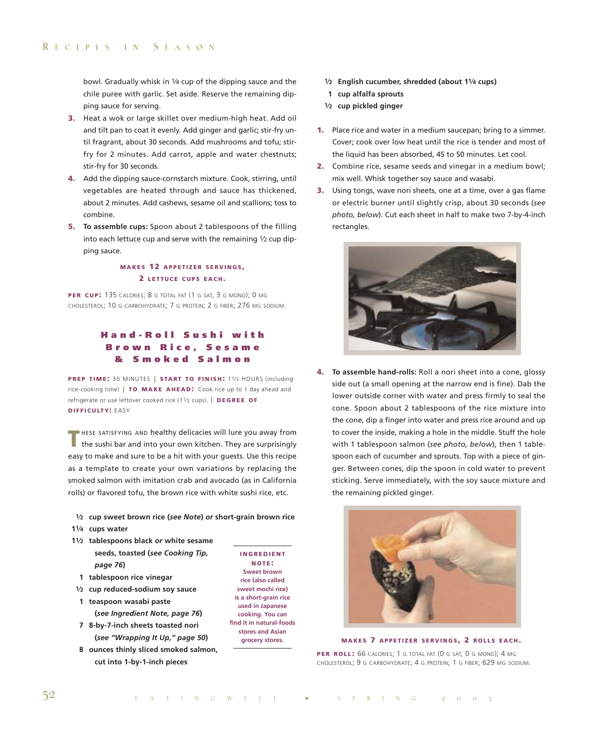bowl. Gradually whisk in 1⁄4 cup of the dipping sauce and the chile puree with garlic. Set aside. Reserve the remaining dipping sauce for serving.

- **3.** Heat a wok or large skillet over medium-high heat. Add oil and tilt pan to coat it evenly. Add ginger and garlic; stir-fry until fragrant, about 30 seconds. Add mushrooms and tofu; stirfry for 2 minutes. Add carrot, apple and water chestnuts; stir-fry for 30 seconds.
- **4.** Add the dipping sauce-cornstarch mixture. Cook, stirring, until vegetables are heated through and sauce has thickened, about 2 minutes. Add cashews, sesame oil and scallions; toss to combine.
- **5. To assemble cups:** Spoon about 2 tablespoons of the filling into each lettuce cup and serve with the remaining 1⁄2 cup dipping sauce.

## **MAKES 12 APPETIZER SERVINGS , 2 LETTUCE CUPS EACH .**

**PER CUP:** 135 CALORIES; 8 G TOTAL FAT (1 G SAT, 3 G MONO); 0 MG CHOLESTEROL; 10 G CARBOHYDRATE; 7 G PROTEIN; 2 G FIBER; 276 MG SODIUM.

# **Hand-Roll Sushi with Brown Rice, Sesame & Smoked Salmon**

**PREP TIME: 30 MINUTES | START TO FINISH: 11/2 HOURS (including** rice-cooking time) **| TO MAKE AHEAD :** Cook rice up to 1 day ahead and refrigerate or use leftover cooked rice (11⁄2 cups). **| DEGREE OF DIFFICULTY:** EASY

**THESE SATISFYING AND healthy delicacies will lure you away from**<br>the sushi bar and into your own kitchen. They are surprisingly easy to make and sure to be a hit with your guests. Use this recipe as a template to create your own variations by replacing the smoked salmon with imitation crab and avocado (as in California rolls) or flavored tofu, the brown rice with white sushi rice, etc.

- **1⁄2 cup sweet brown rice (***see Note***)** *or* **short-grain brown rice**
- **11⁄4 cups water**
- **11⁄2 tablespoons black** *or* **white sesame seeds, toasted (***see Cooking Tip, page 76***)**
	- **1 tablespoon rice vinegar**
- **1⁄2 cup reduced-sodium soy sauce**
- **1 teaspoon wasabi paste (***see Ingredient Note, page 76***)**
- **7 8-by-7-inch sheets toasted nori (***see "Wrapping It Up," page 50***)**
- **8 ounces thinly sliced smoked salmon, cut into 1-by-1-inch pieces**

**INGREDIENT NOTE : Sweet brown rice (also called sweet mochi rice) is a short-grain rice used in Japanese cooking. You can find it in natural-foods stores and Asian grocery stores.**

- **1⁄2 English cucumber, shredded (about 11⁄4 cups)**
- **1 cup alfalfa sprouts**
- **1⁄2 cup pickled ginger**
- **1.** Place rice and water in a medium saucepan; bring to a simmer. Cover; cook over low heat until the rice is tender and most of the liquid has been absorbed, 45 to 50 minutes. Let cool.
- **2.** Combine rice, sesame seeds and vinegar in a medium bowl; mix well. Whisk together soy sauce and wasabi.
- **3.** Using tongs, wave nori sheets, one at a time, over a gas flame or electric burner until slightly crisp, about 30 seconds (*see photo, below*). Cut each sheet in half to make two 7-by-4-inch rectangles.



**4. To assemble hand-rolls:** Roll a nori sheet into a cone, glossy side out (a small opening at the narrow end is fine). Dab the lower outside corner with water and press firmly to seal the cone. Spoon about 2 tablespoons of the rice mixture into the cone, dip a finger into water and press rice around and up to cover the inside, making a hole in the middle. Stuff the hole with 1 tablespoon salmon (*see photo, below*), then 1 tablespoon each of cucumber and sprouts. Top with a piece of ginger. Between cones, dip the spoon in cold water to prevent sticking. Serve immediately, with the soy sauce mixture and the remaining pickled ginger.



**MAKES 7 APPETIZER SERVINGS , 2 ROLLS EACH .**

**PER ROLL :** 66 CALORIES; 1 G TOTAL FAT (0 G SAT, 0 G MONO); 4 MG CHOLESTEROL; 9 G CARBOHYDRATE; 4 G PROTEIN; 1 G FIBER; 629 MG SODIUM.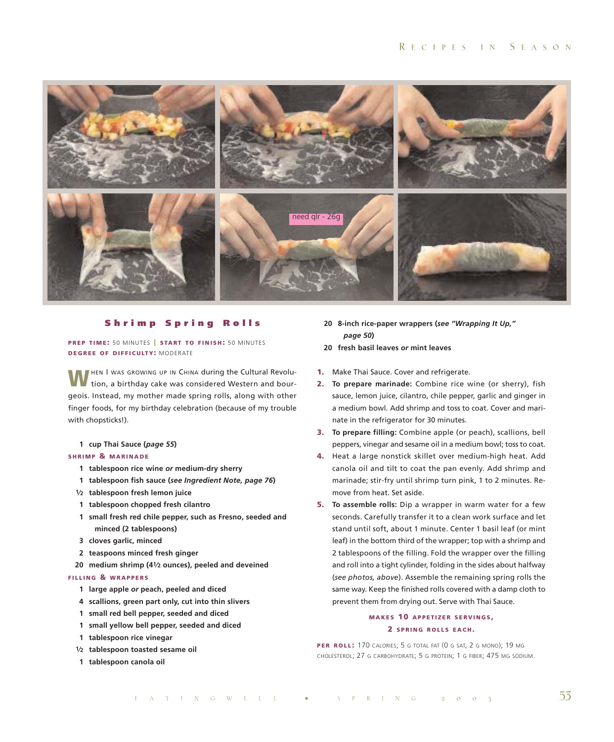

#### **Shrimp Spring Rolls**

**PREP TIME:** 50 MINUTES | START TO FINISH: 50 MINUTES **DEGREE OF DIFFICULTY:** MODERATE

**MHEN I WAS GROWING UP IN CHINA during the Cultural Revolu**tion, a birthday cake was considered Western and bourgeois. Instead, my mother made spring rolls, along with other finger foods, for my birthday celebration (because of my trouble with chopsticks!).

**1 cup Thai Sauce (***page 55***)**

#### **SHRIMP & MARINADE**

- **1 tablespoon rice wine** *or* **medium-dry sherry**
- **1 tablespoon fish sauce (***see Ingredient Note, page 76***)**
- **1⁄2 tablespoon fresh lemon juice**
- **1 tablespoon chopped fresh cilantro**
- **1 small fresh red chile pepper, such as Fresno, seeded and minced (2 tablespoons)**
- **3 cloves garlic, minced**
- **2 teaspoons minced fresh ginger**
- **20 medium shrimp (41⁄2 ounces), peeled and deveined**

#### **FILLING & WRAPPERS**

- **1 large apple** *or* **peach, peeled and diced**
- **4 scallions, green part only, cut into thin slivers**
- **1 small red bell pepper, seeded and diced**
- **1 small yellow bell pepper, seeded and diced**
- **1 tablespoon rice vinegar**
- **1⁄2 tablespoon toasted sesame oil**
- **1 tablespoon canola oil**
- **20 8-inch rice-paper wrappers (***see "Wrapping It Up," page 50***)**
- **20 fresh basil leaves** *or* **mint leaves**
- **1.** Make Thai Sauce. Cover and refrigerate.
- **2. To prepare marinade:** Combine rice wine (or sherry), fish sauce, lemon juice, cilantro, chile pepper, garlic and ginger in a medium bowl. Add shrimp and toss to coat. Cover and marinate in the refrigerator for 30 minutes.
- **3. To prepare filling:** Combine apple (or peach), scallions, bell peppers, vinegar and sesame oil in a medium bowl; toss to coat.
- **4.** Heat a large nonstick skillet over medium-high heat. Add canola oil and tilt to coat the pan evenly. Add shrimp and marinade; stir-fry until shrimp turn pink, 1 to 2 minutes. Remove from heat. Set aside.
- **5. To assemble rolls:** Dip a wrapper in warm water for a few seconds. Carefully transfer it to a clean work surface and let stand until soft, about 1 minute. Center 1 basil leaf (or mint leaf) in the bottom third of the wrapper; top with a shrimp and 2 tablespoons of the filling. Fold the wrapper over the filling and roll into a tight cylinder, folding in the sides about halfway (*see photos, above*). Assemble the remaining spring rolls the same way. Keep the finished rolls covered with a damp cloth to prevent them from drying out. Serve with Thai Sauce.

# **MAKES 10 APPETIZER SERVINGS , 2 SPRING ROLLS EACH .**

**PER ROLL:** 170 CALORIES; 5 G TOTAL FAT (0 G SAT, 2 G MONO); 19 MG CHOLESTEROL; 27 G CARBOHYDRATE; 5 G PROTEIN; 1 G FIBER; 475 MG SODIUM.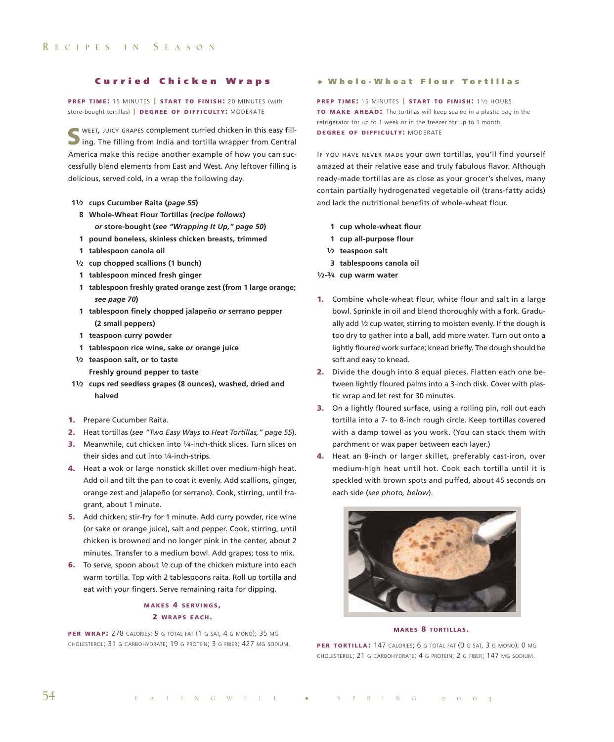#### **Curried Chicken Wraps**

**PREP TIME:** 15 MINUTES | START TO FINISH: 20 MINUTES (with store-bought tortillas) **| DEGREE OF DIFFICULTY:** MODERATE

**S** WEET, JUICY GRAPES complement curried chicken in this easy fill-<br>ing. The filling from India and tortilla wrapper from Central America make this recipe another example of how you can successfully blend elements from East and West. Any leftover filling is delicious, served cold, in a wrap the following day.

- **11⁄2 cups Cucumber Raita (***page 55***)**
	- **8 Whole-Wheat Flour Tortillas (***recipe follows***)**  *or* **store-bought (***see "Wrapping It Up," page 50***)**
	- **1 pound boneless, skinless chicken breasts, trimmed**
	- **1 tablespoon canola oil**
- **1⁄2 cup chopped scallions (1 bunch)**
- **1 tablespoon minced fresh ginger**
- **1 tablespoon freshly grated orange zest (from 1 large orange;** *see page 70***)**
- **1 tablespoon finely chopped jalapeño** *or* **serrano pepper (2 small peppers)**
- **1 teaspoon curry powder**
- **1 tablespoon rice wine, sake** *or* **orange juice**
- **1⁄2 teaspoon salt, or to taste Freshly ground pepper to taste**
- **11⁄2 cups red seedless grapes (8 ounces), washed, dried and halved**
- **1.** Prepare Cucumber Raita.
- **2.** Heat tortillas (*see "Two Easy Ways to Heat Tortillas," page 55*).
- **3.** Meanwhile, cut chicken into 1/4-inch-thick slices. Turn slices on their sides and cut into 1/4-inch-strips.
- **4.** Heat a wok or large nonstick skillet over medium-high heat. Add oil and tilt the pan to coat it evenly. Add scallions, ginger, orange zest and jalapeño (or serrano). Cook, stirring, until fragrant, about 1 minute.
- **5.** Add chicken; stir-fry for 1 minute. Add curry powder, rice wine (or sake or orange juice), salt and pepper. Cook, stirring, until chicken is browned and no longer pink in the center, about 2 minutes. Transfer to a medium bowl. Add grapes; toss to mix.
- **6.** To serve, spoon about 1/2 cup of the chicken mixture into each warm tortilla. Top with 2 tablespoons raita. Roll up tortilla and eat with your fingers. Serve remaining raita for dipping.

#### **MAKES 4 SERVINGS , 2 WRAPS EACH .**

**PER WRAP:** 278 CALORIES; 9 G TOTAL FAT (1 G SAT, 4 G MONO); 35 MG CHOLESTEROL; 31 G CARBOHYDRATE; 19 G PROTEIN; 3 G FIBER; 427 MG SODIUM.

#### • **Who le -Wheat F lou r To rt i l las**

**PREP TIME: 15 MINUTES | START TO FINISH: 11/2 HOURS TO MAKE AHEAD:** The tortillas will keep sealed in a plastic bag in the refrigerator for up to 1 week or in the freezer for up to 1 month. **DEGREE OF DIFFICULTY:** MODERATE

IF YOU HAVE NEVER MADE your own tortillas, you'll find yourself amazed at their relative ease and truly fabulous flavor. Although ready-made tortillas are as close as your grocer's shelves, many contain partially hydrogenated vegetable oil (trans-fatty acids) and lack the nutritional benefits of whole-wheat flour.

- **1 cup whole-wheat flour**
- **1 cup all-purpose flour**
- **1⁄2 teaspoon salt**
- **3 tablespoons canola oil**
- **1⁄2-3⁄4 cup warm water**
- **1.** Combine whole-wheat flour, white flour and salt in a large bowl. Sprinkle in oil and blend thoroughly with a fork. Gradually add 1/2 cup water, stirring to moisten evenly. If the dough is too dry to gather into a ball, add more water. Turn out onto a lightly floured work surface; knead briefly. The dough should be soft and easy to knead.
- **2.** Divide the dough into 8 equal pieces. Flatten each one between lightly floured palms into a 3-inch disk. Cover with plastic wrap and let rest for 30 minutes.
- **3.** On a lightly floured surface, using a rolling pin, roll out each tortilla into a 7- to 8-inch rough circle. Keep tortillas covered with a damp towel as you work. (You can stack them with parchment or wax paper between each layer.)
- **4.** Heat an 8-inch or larger skillet, preferably cast-iron, over medium-high heat until hot. Cook each tortilla until it is speckled with brown spots and puffed, about 45 seconds on each side (*see photo, below*).



#### **MAKES 8 TORTILLAS.**

PER TORTILLA: 147 CALORIES; 6 G TOTAL FAT (0 G SAT, 3 G MONO); 0 MG CHOLESTEROL; 21 G CARBOHYDRATE; 4 G PROTEIN; 2 G FIBER; 147 MG SODIUM.